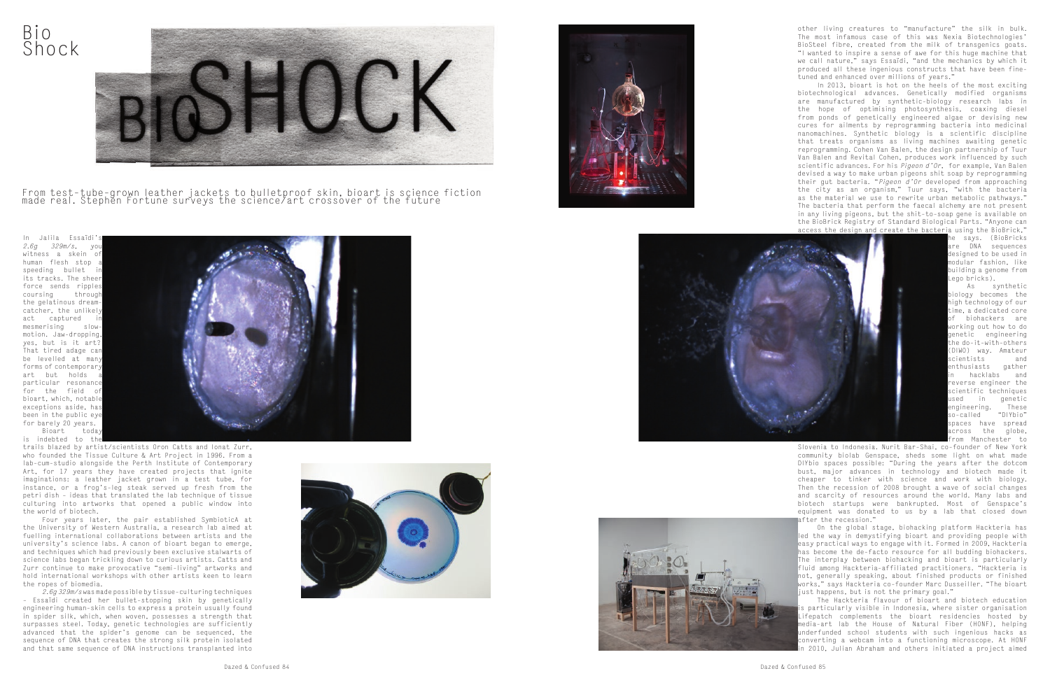other living creatures to "manufacture" the silk in bulk. The most infamous case of this was Nexia Biotechnologies' BioSteel fibre, created from the milk of transgenics goats. "I wanted to inspire a sense of awe for this huge machine that we call nature," says Essaïdi, "and the mechanics by which it produced all these ingenious constructs that have been finetuned and enhanced over millions of years."

> As synthetic biology becomes the igh technology of our ime, a dedicated core of biohackers are working out how to do genetic engineering he do-it-with-others DIWO) way. Amateur scientists and enthusiasts gather hacklabs and everse engineer the scientific techniques used in genetic<br>engineering. These engineering. These<br>so-called "DIYbio" so-called spaces have spread  $\frac{1}{2}$  cross the globe, rom Manchester to

In 2013, bioart is hot on the heels of the most exciting biotechnological advances. Genetically modified organisms are manufactured by synthetic-biology research labs in the hope of optimising photosynthesis, coaxing diesel from ponds of genetically engineered algae or devising new cures for ailments by reprogramming bacteria into medicinal nanomachines. Synthetic biology is a scientific discipline that treats organisms as living machines awaiting genetic reprogramming. Cohen Van Balen, the design partnership of Tuur Van Balen and Revital Cohen, produces work influenced by such scientific advances. For his *Pigeon d'Or*, for example, Van Balen devised a way to make urban pigeons shit soap by reprogramming their gut bacteria. "*Pigeon d'Or* developed from approaching the city as an organism," Tuur says, "with the bacteria as the material we use to rewrite urban metabolic pathways." The bacteria that perform the faecal alchemy are not present in any living pigeons, but the shit-to-soap gene is available on the BioBrick Registry of Standard Biological Parts. "Anyone can access the design and create the bacteria using the BioBrick,"

The Hackteria flavour of bioart and biotech education s particularly visible in Indonesia, where sister organisation Lifepatch complements the bioart residencies hosted by media-art lab the House of Natural Fiber (HONF), helping underfunded school students with such ingenious hacks as converting a webcam into a functioning microscope. At HONF 2010, Julian Abraham and others initiated a project aimed

he says. (BioBricks are DNA sequences designed to be used in modular fashion, like building a genome from Lego bricks).

From test-tube-grown leather jackets to bulletproof skin, bioart is science fiction made real. Stephĕn Fortune surveys the science⁄art crossover of the future

In Jalila Essaïdi *2.6g 329m/s*, yo witness a skein of human flesh stop speeding bullet its tracks. The sheer force sends ripples coursing through the gelatinous dreamcatcher, the unlikely act captured mesmerising slowmotion. Jaw-dropping, yes, but is it art? That tired adage can be levelled at many forms of contemporary art but holds a particular resonance for the field of bioart, which, notable exceptions aside, has been in the public eye for barely 20 years. Bioart today is indebted to the



Slovenia to Indonesia. Nurit Bar-Shai, co-founder of New York community biolab Genspace, sheds some light on what made DIYbio spaces possible: "During the years after the dotcom bust, major advances in technology and biotech made it cheaper to tinker with science and work with biology. Then the recession of 2008 brought a wave of social changes and scarcity of resources around the world. Many labs and biotech startups were bankrupted. Most of Genspace's equipment was donated to us by a lab that closed down after the recession."

On the global stage, biohacking platform Hackteria has led the way in demystifying bioart and providing people with easy practical ways to engage with it. Formed in 2009, Hackteria has become the de-facto resource for all budding biohackers. The interplay between biohacking and bioart is particularly fluid among Hackteria-affiliated practitioners. "Hackteria is not, generally speaking, about finished products or finished works," says Hackteria co-founder Marc Dusseiller. "The bioart just happens, but is not the primary goal."







trails blazed by artist/scientists Oron Catts and Ionat Zurr, who founded the Tissue Culture & Art Project in 1996. From a lab-cum-studio alongside the Perth Institute of Contemporary Art, for 17 years they have created projects that ignite imaginations: a leather jacket grown in a test tube, for instance, or a frog's-leg steak served up fresh from the petri dish – ideas that translated the lab technique of tissue culturing into artworks that opened a public window into the world of biotech.

Four years later, the pair established SymbioticA at the University of Western Australia, a research lab aimed at fuelling international collaborations between artists and the university's science labs. A canon of bioart began to emerge, and techniques which had previously been exclusive stalwarts of science labs began trickling down to curious artists. Catts and Zurr continue to make provocative "semi-living" artworks and hold international workshops with other artists keen to learn the ropes of biomedia.

*2.6g 329m/s* was made possible by tissue-culturing techniques – Essaïdi created her bullet-stopping skin by genetically engineering human-skin cells to express a protein usually found in spider silk, which, when woven, possesses a strength that surpasses steel. Today, genetic technologies are sufficiently advanced that the spider's genome can be sequenced, the sequence of DNA that creates the strong silk protein isolated and that same sequence of DNA instructions transplanted into